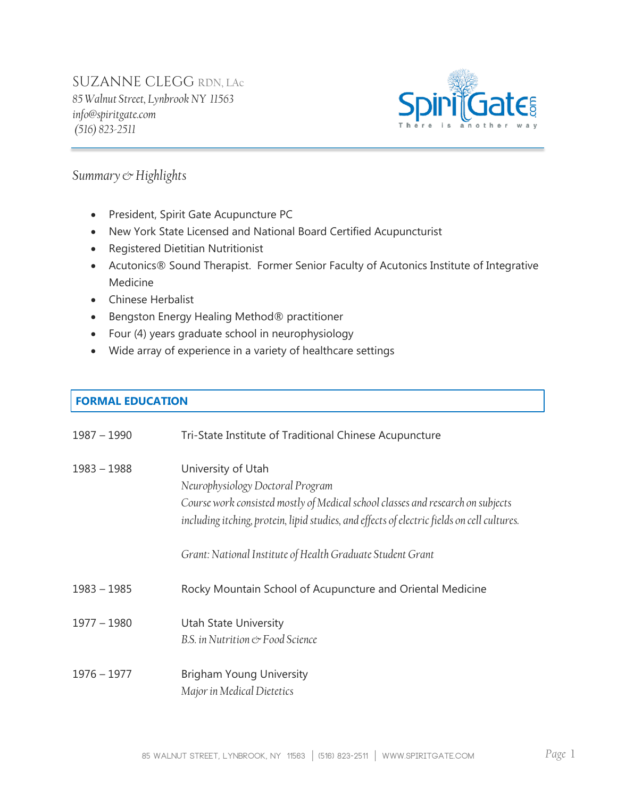# SUZANNE CLEGG RDN, LAc

*85 Walnut Street, Lynbrook NY 11563 info@spiritgate.com (516) 823-2511*



### *Summary & Highlights*

- President, Spirit Gate Acupuncture PC
- New York State Licensed and National Board Certified Acupuncturist
- Registered Dietitian Nutritionist
- Acutonics® Sound Therapist. Former Senior Faculty of Acutonics Institute of Integrative Medicine
- Chinese Herbalist
- **•** Bengston Energy Healing Method<sup>®</sup> practitioner
- Four (4) years graduate school in neurophysiology
- Wide array of experience in a variety of healthcare settings

### **FORMAL EDUCATION**

| $1987 - 1990$ | Tri-State Institute of Traditional Chinese Acupuncture                                                                                                                                                                                   |
|---------------|------------------------------------------------------------------------------------------------------------------------------------------------------------------------------------------------------------------------------------------|
| $1983 - 1988$ | University of Utah<br>Neurophysiology Doctoral Program<br>Course work consisted mostly of Medical school classes and research on subjects<br>including itching, protein, lipid studies, and effects of electric fields on cell cultures. |
|               | Grant: National Institute of Health Graduate Student Grant                                                                                                                                                                               |
| $1983 - 1985$ | Rocky Mountain School of Acupuncture and Oriental Medicine                                                                                                                                                                               |
| $1977 - 1980$ | <b>Utah State University</b><br>B.S. in Nutrition & Food Science                                                                                                                                                                         |
| $1976 - 1977$ | <b>Brigham Young University</b><br>Major in Medical Dietetics                                                                                                                                                                            |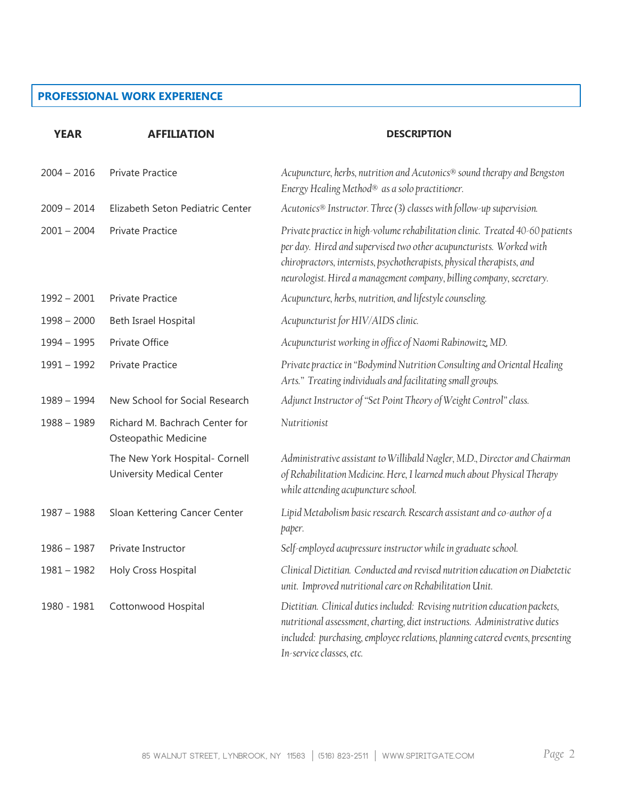#### **PROFESSIONAL WORK EXPERIENCE**

| <b>YEAR</b>   | <b>AFFILIATION</b>                                                 | <b>DESCRIPTION</b>                                                                                                                                                                                                                                                                                    |
|---------------|--------------------------------------------------------------------|-------------------------------------------------------------------------------------------------------------------------------------------------------------------------------------------------------------------------------------------------------------------------------------------------------|
| $2004 - 2016$ | <b>Private Practice</b>                                            | Acupuncture, herbs, nutrition and Acutonics® sound therapy and Bengston<br>Energy Healing Method® as a solo practitioner.                                                                                                                                                                             |
| $2009 - 2014$ | Elizabeth Seton Pediatric Center                                   | Acutonics® Instructor. Three (3) classes with follow-up supervision.                                                                                                                                                                                                                                  |
| $2001 - 2004$ | <b>Private Practice</b>                                            | Private practice in high-volume rehabilitation clinic. Treated 40-60 patients<br>per day. Hired and supervised two other acupuncturists. Worked with<br>chiropractors, internists, psychotherapists, physical therapists, and<br>neurologist. Hired a management company, billing company, secretary. |
| $1992 - 2001$ | <b>Private Practice</b>                                            | Acupuncture, herbs, nutrition, and lifestyle counseling.                                                                                                                                                                                                                                              |
| $1998 - 2000$ | Beth Israel Hospital                                               | Acupuncturist for HIV/AIDS clinic.                                                                                                                                                                                                                                                                    |
| $1994 - 1995$ | Private Office                                                     | Acupuncturist working in office of Naomi Rabinowitz, MD.                                                                                                                                                                                                                                              |
| $1991 - 1992$ | <b>Private Practice</b>                                            | Private practice in "Bodymind Nutrition Consulting and Oriental Healing<br>Arts." Treating individuals and facilitating small groups.                                                                                                                                                                 |
| $1989 - 1994$ | New School for Social Research                                     | Adjunct Instructor of "Set Point Theory of Weight Control" class.                                                                                                                                                                                                                                     |
| $1988 - 1989$ | Richard M. Bachrach Center for<br>Osteopathic Medicine             | Nutritionist                                                                                                                                                                                                                                                                                          |
|               | The New York Hospital- Cornell<br><b>University Medical Center</b> | Administrative assistant to Willibald Nagler, M.D., Director and Chairman<br>of Rehabilitation Medicine. Here, I learned much about Physical Therapy<br>while attending acupuncture school.                                                                                                           |
| $1987 - 1988$ | Sloan Kettering Cancer Center                                      | Lipid Metabolism basic research. Research assistant and co-author of a<br>paper.                                                                                                                                                                                                                      |
| $1986 - 1987$ | Private Instructor                                                 | Self-employed acupressure instructor while in graduate school.                                                                                                                                                                                                                                        |
| $1981 - 1982$ | Holy Cross Hospital                                                | Clinical Dietitian. Conducted and revised nutrition education on Diabetetic<br>unit. Improved nutritional care on Rehabilitation Unit.                                                                                                                                                                |
| 1980 - 1981   | Cottonwood Hospital                                                | Dietitian. Clinical duties included: Revising nutrition education packets,<br>nutritional assessment, charting, diet instructions. Administrative duties<br>included: purchasing, employee relations, planning catered events, presenting<br>In-service classes, etc.                                 |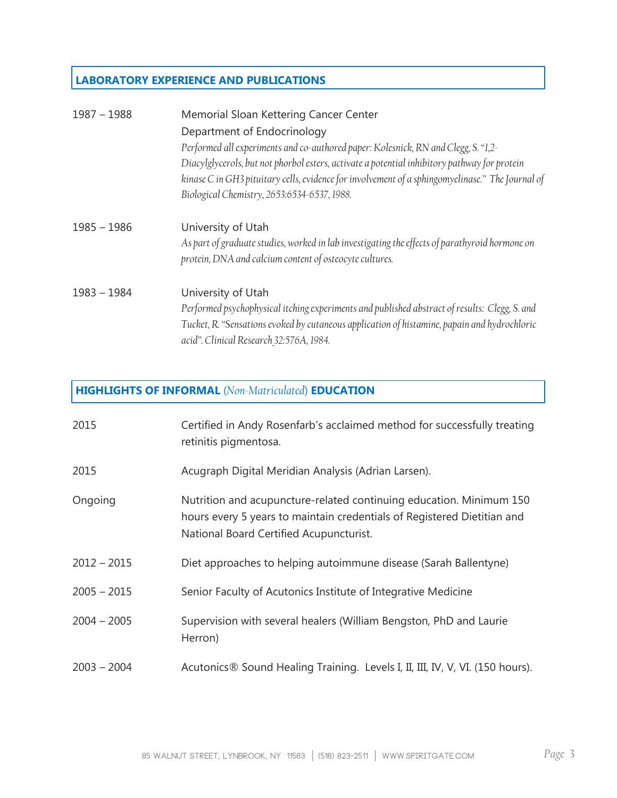## **LABORATORY EXPERIENCE AND PUBLICATIONS**

| $1987 - 1988$ | Memorial Sloan Kettering Cancer Center                                                           |
|---------------|--------------------------------------------------------------------------------------------------|
|               | Department of Endocrinology                                                                      |
|               | Performed all experiments and co-authored paper: Kolesnick, RN and Clegg, S. "1,2-               |
|               | Diacylglycerols, but not phorbol esters, activate a potential inhibitory pathway for protein     |
|               | kinase C in GH3 pituitary cells, evidence for involvement of a sphingomyelinase." The Journal of |
|               | Biological Chemistry, 2653:6534-6537, 1988.                                                      |
| $1985 - 1986$ | University of Utah                                                                               |
|               | As part of graduate studies, worked in lab investigating the effects of parathyroid hormone on   |
|               | protein, DNA and calcium content of osteocyte cultures.                                          |
| $1983 - 1984$ | University of Utah                                                                               |
|               | Performed psychophysical itching experiments and published abstract of results: Clegg, S. and    |
|               | Tucket, R. "Sensations evoked by cutaneous application of histamine, papain and hydrochloric     |
|               | acid". Clinical Research 32:576A, 1984.                                                          |

# **HIGHLIGHTS OF INFORMAL** (*Non-Matriculated*) **EDUCATION**

| 2015          | Certified in Andy Rosenfarb's acclaimed method for successfully treating<br>retinitis pigmentosa.                                                                                         |
|---------------|-------------------------------------------------------------------------------------------------------------------------------------------------------------------------------------------|
| 2015          | Acugraph Digital Meridian Analysis (Adrian Larsen).                                                                                                                                       |
| Ongoing       | Nutrition and acupuncture-related continuing education. Minimum 150<br>hours every 5 years to maintain credentials of Registered Dietitian and<br>National Board Certified Acupuncturist. |
| $2012 - 2015$ | Diet approaches to helping autoimmune disease (Sarah Ballentyne)                                                                                                                          |
| $2005 - 2015$ | Senior Faculty of Acutonics Institute of Integrative Medicine                                                                                                                             |
| $2004 - 2005$ | Supervision with several healers (William Bengston, PhD and Laurie<br>Herron)                                                                                                             |
| $2003 - 2004$ | Acutonics® Sound Healing Training. Levels I, II, III, IV, V, VI. (150 hours).                                                                                                             |